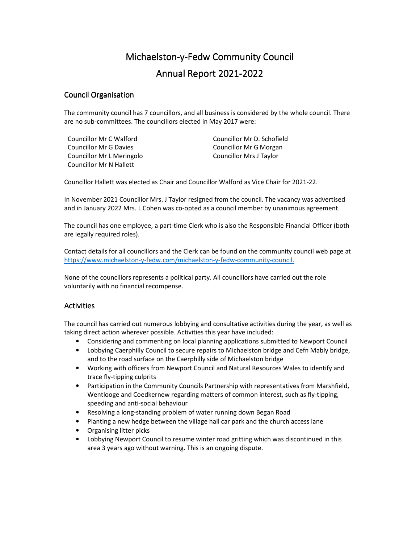# Michaelston-y-Fedw Community Council Annual Report 2021 Annual Report 2021-2022

#### **Council Organisation**

The community council has 7 councillors, and all business is considered by the whole council. There are no sub-committees. The councillors elected in May 2017 were:

Councillor Mr C Walford Councillor Mr D. Schofield Councillor Mr G Davies Councillor Mr G Morgan Councillor Mr L Meringolo Councillor Mrs J Taylor Councillor Mr N Hallett

Councillor Hallett was elected as Chair and Councillor Walford as Vice Chair for 2021-22.

In November 2021 Councillor Mrs. J Taylor resigned from the council. The vacancy was advertised and in January 2022 Mrs. L Cohen was co-opted as a council member by unanimous agreement.

The council has one employee, a part-time Clerk who is also the Responsible Financial Officer (both are legally required roles).

Contact details for all councillors and the Clerk can be found on the community council web page at https://www.michaelston-y-fedw.com/michaelston-y-fedw-community-council.

None of the councillors represents a political party. All councillors have carried out the role voluntarily with no financial recompense.

#### **Activities**

The council has carried out numerous lobbying and consultative activities during the year, as well as taking direct action wherever possible. Activities this year have included:

- Considering and commenting on local planning applications submitted to Newport Council
- Lobbying Caerphilly Council to secure repairs to Michaelston bridge and Cefn Mably bridge, and to the road surface on the Caerphilly side of Michaelston bridge
- Working with officers from Newport Council and Natural Resources Wales to identify and trace fly-tipping culprits
- Participation in the Community Councils Partnership with representatives from Marshfield, Wentlooge and Coedkernew regarding matters of common interest, such as fly-tipping, speeding and anti-social behaviour
- Resolving a long-standing problem of water running down Began Road
- Planting a new hedge between the village hall car park and the church access lane
- Organising litter picks
- Lobbying Newport Council to resume winter road gritting which was discontinued in this area 3 years ago without warning. This is an ongoing dispute.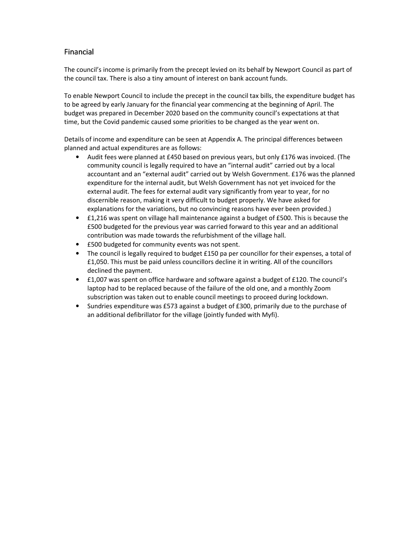## Financial

The council's income is primarily from the precept levied on its behalf by Newport Council as part of the council tax. There is also a tiny amount of interest on bank account funds.

To enable Newport Council to include the precept in the council tax bills, the expenditure budget has to be agreed by early January for the financial year commencing at the beginning of April. The budget was prepared in December 2020 based on the community council's expectations at that time, but the Covid pandemic caused some priorities to be changed as the year went on.

Details of income and expenditure can be seen at Appendix A. The principal differences between planned and actual expenditures are as follows:

- Audit fees were planned at £450 based on previous years, but only £176 was invoiced. (The community council is legally required to have an "internal audit" carried out by a local accountant and an "external audit" carried out by Welsh Government. £176 was the planned expenditure for the internal audit, but Welsh Government has not yet invoiced for the external audit. The fees for external audit vary significantly from year to year, for no discernible reason, making it very difficult to budget properly. We have asked for explanations for the variations, but no convincing reasons have ever been provided.)
- £1,216 was spent on village hall maintenance against a budget of £500. This is because the £500 budgeted for the previous year was carried forward to this year and an additional contribution was made towards the refurbishment of the village hall.
- £500 budgeted for community events was not spent.
- The council is legally required to budget £150 pa per councillor for their expenses, a total of £1,050. This must be paid unless councillors decline it in writing. All of the councillors declined the payment.
- £1,007 was spent on office hardware and software against a budget of £120. The council's laptop had to be replaced because of the failure of the old one, and a monthly Zoom subscription was taken out to enable council meetings to proceed during lockdown.
- Sundries expenditure was £573 against a budget of £300, primarily due to the purchase of an additional defibrillator for the village (jointly funded with Myfi).